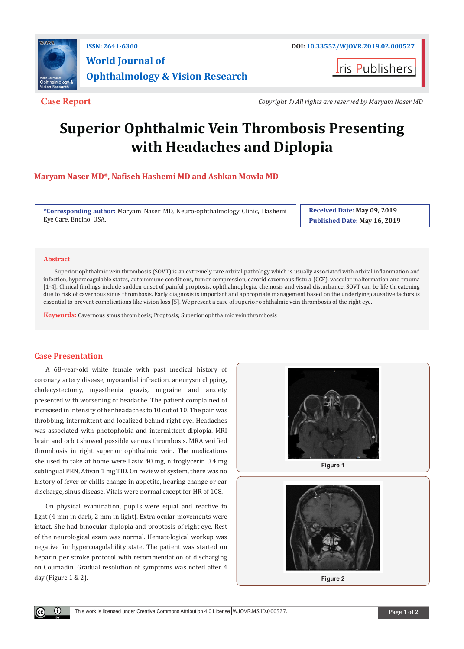

**I**ris Publishers

**Case Report** *Copyright © All rights are reserved by Maryam Naser MD*

# **Superior Ophthalmic Vein Thrombosis Presenting with Headaches and Diplopia**

**Maryam Naser MD\*, Nafiseh Hashemi MD and Ashkan Mowla MD**

**\*Corresponding author:** Maryam Naser MD, Neuro-ophthalmology Clinic, Hashemi Eye Care, Encino, USA.

**Received Date: May 09, 2019 Published Date: May 16, 2019**

### **Abstract**

Superior ophthalmic vein thrombosis (SOVT) is an extremely rare orbital pathology which is usually associated with orbital inflammation and infection, hypercoagulable states, autoimmune conditions, tumor compression, carotid cavernous fistula (CCF), vascular malformation and trauma [1-4]. Clinical findings include sudden onset of painful proptosis, ophthalmoplegia, chemosis and visual disturbance. SOVT can be life threatening due to risk of cavernous sinus thrombosis. Early diagnosis is important and appropriate management based on the underlying causative factors is essential to prevent complications like vision loss [5]. We present a case of superior ophthalmic vein thrombosis of the right eye.

**Keywords:** Cavernous sinus thrombosis; Proptosis; Superior ophthalmic vein thrombosis

## **Case Presentation**

 $\left( \cdot \right)$ 

A 68-year-old white female with past medical history of coronary artery disease, myocardial infraction, aneurysm clipping, cholecystectomy, myasthenia gravis, migraine and anxiety presented with worsening of headache. The patient complained of increased in intensity of her headaches to 10 out of 10. The pain was throbbing, intermittent and localized behind right eye. Headaches was associated with photophobia and intermittent diplopia. MRI brain and orbit showed possible venous thrombosis. MRA verified thrombosis in right superior ophthalmic vein. The medications she used to take at home were Lasix 40 mg, nitroglycerin 0.4 mg sublingual PRN, Ativan 1 mg TID. On review of system, there was no history of fever or chills change in appetite, hearing change or ear discharge, sinus disease. Vitals were normal except for HR of 108.

On physical examination, pupils were equal and reactive to light (4 mm in dark, 2 mm in light). Extra ocular movements were intact. She had binocular diplopia and proptosis of right eye. Rest of the neurological exam was normal. Hematological workup was negative for hypercoagulability state. The patient was started on heparin per stroke protocol with recommendation of discharging on Coumadin. Gradual resolution of symptoms was noted after 4 day (Figure 1 & 2).



**Figure 2**